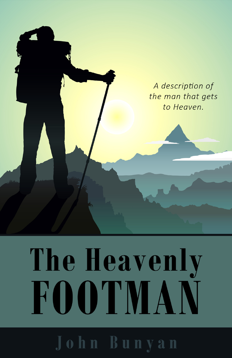

# The Heavenly **FOOTMAN**

John Bunyan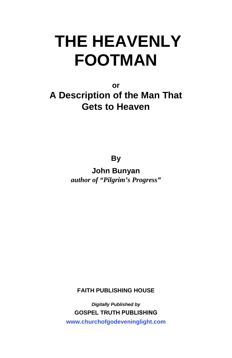**or** 

**A Description of the Man That Gets to Heaven** 

**By** 

**John Bunyan** *author of "Pilgrim's Progress"*

**FAITH PUBLISHING HOUSE**

*Digitally Published by*  **GOSPEL TRUTH PUBLISHING www.churchofgodeveninglight.com**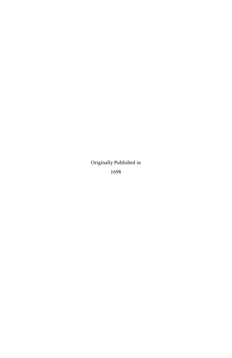Originally Published in 1698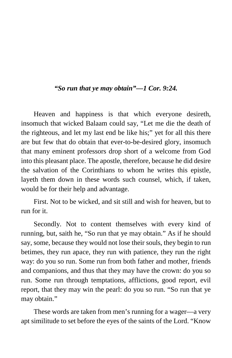# *"So run that ye may obtain"—1 Cor. 9:24.*

Heaven and happiness is that which everyone desireth, insomuch that wicked Balaam could say, "Let me die the death of the righteous, and let my last end be like his;" yet for all this there are but few that do obtain that ever-to-be-desired glory, insomuch that many eminent professors drop short of a welcome from God into this pleasant place. The apostle, therefore, because he did desire the salvation of the Corinthians to whom he writes this epistle, layeth them down in these words such counsel, which, if taken, would be for their help and advantage.

First. Not to be wicked, and sit still and wish for heaven, but to run for it.

Secondly. Not to content themselves with every kind of running, but, saith he, "So run that ye may obtain." As if he should say, some, because they would not lose their souls, they begin to run betimes, they run apace, they run with patience, they run the right way: do you so run. Some run from both father and mother, friends and companions, and thus that they may have the crown: do you so run. Some run through temptations, afflictions, good report, evil report, that they may win the pearl: do you so run. "So run that ye may obtain."

These words are taken from men's running for a wager—a very apt similitude to set before the eyes of the saints of the Lord. "Know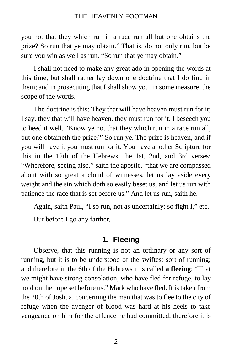you not that they which run in a race run all but one obtains the prize? So run that ye may obtain." That is, do not only run, but be sure you win as well as run. "So run that ye may obtain."

I shall not need to make any great ado in opening the words at this time, but shall rather lay down one doctrine that I do find in them; and in prosecuting that I shall show you, in some measure, the scope of the words.

The doctrine is this: They that will have heaven must run for it; I say, they that will have heaven, they must run for it. I beseech you to heed it well. "Know ye not that they which run in a race run all, but one obtaineth the prize?" So run ye. The prize is heaven, and if you will have it you must run for it. You have another Scripture for this in the 12th of the Hebrews, the 1st, 2nd, and 3rd verses: "Wherefore, seeing also," saith the apostle, "that we are compassed about with so great a cloud of witnesses, let us lay aside every weight and the sin which doth so easily beset us, and let us run with patience the race that is set before us." And let us run, saith he.

Again, saith Paul, "I so run, not as uncertainly: so fight I," etc.

But before I go any farther,

#### **1. Fleeing**

Observe, that this running is not an ordinary or any sort of running, but it is to be understood of the swiftest sort of running; and therefore in the 6th of the Hebrews it is called **a fleeing**: "That we might have strong consolation, who have fled for refuge, to lay hold on the hope set before us." Mark who have fled. It is taken from the 20th of Joshua, concerning the man that was to flee to the city of refuge when the avenger of blood was hard at his heels to take vengeance on him for the offence he had committed; therefore it is

2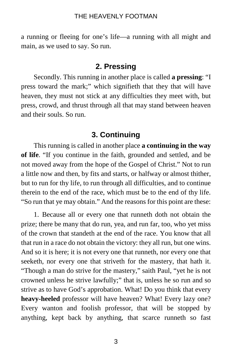a running or fleeing for one's life—a running with all might and main, as we used to say. So run.

# **2. Pressing**

Secondly. This running in another place is called **a pressing**: "I press toward the mark;" which signifieth that they that will have heaven, they must not stick at any difficulties they meet with, but press, crowd, and thrust through all that may stand between heaven and their souls. So run.

# **3. Continuing**

This running is called in another place **a continuing in the way of life**. "If you continue in the faith, grounded and settled, and be not moved away from the hope of the Gospel of Christ." Not to run a little now and then, by fits and starts, or halfway or almost thither, but to run for thy life, to run through all difficulties, and to continue therein to the end of the race, which must be to the end of thy life. "So run that ye may obtain." And the reasons for this point are these:

1. Because all or every one that runneth doth not obtain the prize; there be many that do run, yea, and run far, too, who yet miss of the crown that standeth at the end of the race. You know that all that run in a race do not obtain the victory: they all run, but one wins. And so it is here; it is not every one that runneth, nor every one that seeketh, nor every one that striveth for the mastery, that hath it. "Though a man do strive for the mastery," saith Paul, "yet he is not crowned unless he strive lawfully;" that is, unless he so run and so strive as to have God's approbation. What! Do you think that every **heavy-heeled** professor will have heaven? What! Every lazy one? Every wanton and foolish professor, that will be stopped by anything, kept back by anything, that scarce runneth so fast

3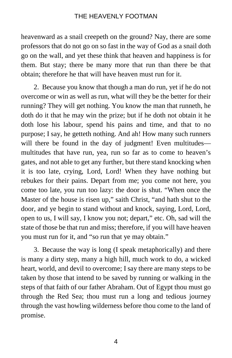heavenward as a snail creepeth on the ground? Nay, there are some professors that do not go on so fast in the way of God as a snail doth go on the wall, and yet these think that heaven and happiness is for them. But stay; there be many more that run than there be that obtain; therefore he that will have heaven must run for it.

2. Because you know that though a man do run, yet if he do not overcome or win as well as run, what will they be the better for their running? They will get nothing. You know the man that runneth, he doth do it that he may win the prize; but if he doth not obtain it he doth lose his labour, spend his pains and time, and that to no purpose; I say, he getteth nothing. And ah! How many such runners will there be found in the day of judgment! Even multitudes multitudes that have run, yea, run so far as to come to heaven's gates, and not able to get any further, but there stand knocking when it is too late, crying, Lord, Lord! When they have nothing but rebukes for their pains. Depart from me; you come not here, you come too late, you run too lazy: the door is shut. "When once the Master of the house is risen up," saith Christ, "and hath shut to the door, and ye begin to stand without and knock, saying, Lord, Lord, open to us, I will say, I know you not; depart," etc. Oh, sad will the state of those be that run and miss; therefore, if you will have heaven you must run for it, and "so run that ye may obtain."

3. Because the way is long (I speak metaphorically) and there is many a dirty step, many a high hill, much work to do, a wicked heart, world, and devil to overcome; I say there are many steps to be taken by those that intend to be saved by running or walking in the steps of that faith of our father Abraham. Out of Egypt thou must go through the Red Sea; thou must run a long and tedious journey through the vast howling wilderness before thou come to the land of promise.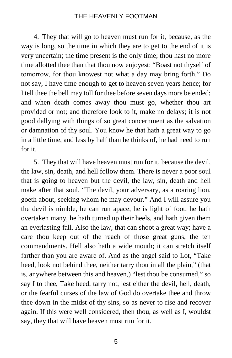4. They that will go to heaven must run for it, because, as the way is long, so the time in which they are to get to the end of it is very uncertain; the time present is the only time; thou hast no more time allotted thee than that thou now enjoyest: "Boast not thyself of tomorrow, for thou knowest not what a day may bring forth." Do not say, I have time enough to get to heaven seven years hence; for I tell thee the bell may toll for thee before seven days more be ended; and when death comes away thou must go, whether thou art provided or not; and therefore look to it, make no delays; it is not good dallying with things of so great concernment as the salvation or damnation of thy soul. You know he that hath a great way to go in a little time, and less by half than he thinks of, he had need to run for it.

5. They that will have heaven must run for it, because the devil, the law, sin, death, and hell follow them. There is never a poor soul that is going to heaven but the devil, the law, sin, death and hell make after that soul. "The devil, your adversary, as a roaring lion, goeth about, seeking whom he may devour." And I will assure you the devil is nimble, he can run apace, he is light of foot, he hath overtaken many, he hath turned up their heels, and hath given them an everlasting fall. Also the law, that can shoot a great way; have a care thou keep out of the reach of those great guns, the ten commandments. Hell also hath a wide mouth; it can stretch itself farther than you are aware of. And as the angel said to Lot, "Take heed, look not behind thee, neither tarry thou in all the plain," (that is, anywhere between this and heaven,) "lest thou be consumed," so say I to thee, Take heed, tarry not, lest either the devil, hell, death, or the fearful curses of the law of God do overtake thee and throw thee down in the midst of thy sins, so as never to rise and recover again. If this were well considered, then thou, as well as I, wouldst say, they that will have heaven must run for it.

5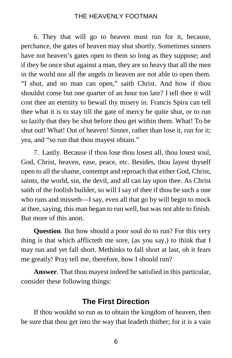6. They that will go to heaven must run for it, because, perchance, the gates of heaven may shut shortly. Sometimes sinners have not heaven's gates open to them so long as they suppose; and if they be once shut against a man, they are so heavy that all the men in the world nor all the angels in heaven are not able to open them. "I shut, and no man can open," saith Christ. And how if thou shouldst come but one quarter of an hour too late? I tell thee it will cost thee an eternity to bewail thy misery in. Francis Spira can tell thee what it is to stay till the gate of mercy be quite shut, or to run so lazily that they be shut before thou get within them. What! To be shut out! What! Out of heaven! Sinner, rather than lose it, run for it; yea, and "so run that thou mayest obtain."

7. Lastly. Because if thou lose thou losest all, thou losest soul, God, Christ, heaven, ease, peace, etc. Besides, thou layest thyself open to all the shame, contempt and reproach that either God, Christ, saints, the world, sin, the devil, and all can lay upon thee. As Christ saith of the foolish builder, so will I say of thee if thou be such a one who runs and misseth—I say, even all that go by will begin to mock at thee, saying, this man began to run well, but was not able to finish. But more of this anon.

**Question**. But how should a poor soul do to run? For this very thing is that which afflicteth me sore, (as you say,) to think that I may run and yet fall short. Methinks to fall short at last, oh it fears me greatly! Pray tell me, therefore, how I should run?

**Answer**. That thou mayest indeed be satisfied in this particular, consider these following things:

# **The First Direction**

If thou wouldst so run as to obtain the kingdom of heaven, then be sure that thou get into the way that leadeth thither; for it is a vain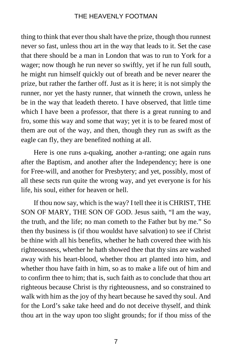thing to think that ever thou shalt have the prize, though thou runnest never so fast, unless thou art in the way that leads to it. Set the case that there should be a man in London that was to run to York for a wager; now though he run never so swiftly, yet if he run full south, he might run himself quickly out of breath and be never nearer the prize, but rather the farther off. Just as it is here; it is not simply the runner, nor yet the hasty runner, that winneth the crown, unless he be in the way that leadeth thereto. I have observed, that little time which I have been a professor, that there is a great running to and fro, some this way and some that way; yet it is to be feared most of them are out of the way, and then, though they run as swift as the eagle can fly, they are benefited nothing at all.

Here is one runs a-quaking, another a-ranting; one again runs after the Baptism, and another after the Independency; here is one for Free-will, and another for Presbytery; and yet, possibly, most of all these sects run quite the wrong way, and yet everyone is for his life, his soul, either for heaven or hell.

If thou now say, which is the way? I tell thee it is CHRIST, THE SON OF MARY, THE SON OF GOD. Jesus saith, "I am the way, the truth, and the life; no man cometh to the Father but by me." So then thy business is (if thou wouldst have salvation) to see if Christ be thine with all his benefits, whether he hath covered thee with his righteousness, whether he hath showed thee that thy sins are washed away with his heart-blood, whether thou art planted into him, and whether thou have faith in him, so as to make a life out of him and to confirm thee to him; that is, such faith as to conclude that thou art righteous because Christ is thy righteousness, and so constrained to walk with him as the joy of thy heart because he saved thy soul. And for the Lord's sake take heed and do not deceive thyself, and think thou art in the way upon too slight grounds; for if thou miss of the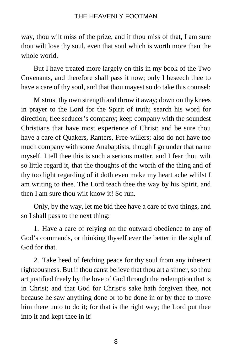way, thou wilt miss of the prize, and if thou miss of that, I am sure thou wilt lose thy soul, even that soul which is worth more than the whole world.

But I have treated more largely on this in my book of the Two Covenants, and therefore shall pass it now; only I beseech thee to have a care of thy soul, and that thou mayest so do take this counsel:

Mistrust thy own strength and throw it away; down on thy knees in prayer to the Lord for the Spirit of truth; search his word for direction; flee seducer's company; keep company with the soundest Christians that have most experience of Christ; and be sure thou have a care of Quakers, Ranters, Free-willers; also do not have too much company with some Anabaptists, though I go under that name myself. I tell thee this is such a serious matter, and I fear thou wilt so little regard it, that the thoughts of the worth of the thing and of thy too light regarding of it doth even make my heart ache whilst I am writing to thee. The Lord teach thee the way by his Spirit, and then I am sure thou wilt know it! So run.

Only, by the way, let me bid thee have a care of two things, and so I shall pass to the next thing:

1. Have a care of relying on the outward obedience to any of God's commands, or thinking thyself ever the better in the sight of God for that.

2. Take heed of fetching peace for thy soul from any inherent righteousness. But if thou canst believe that thou art a sinner, so thou art justified freely by the love of God through the redemption that is in Christ; and that God for Christ's sake hath forgiven thee, not because he saw anything done or to be done in or by thee to move him there unto to do it; for that is the right way; the Lord put thee into it and kept thee in it!

8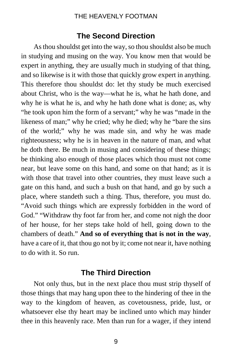# **The Second Direction**

As thou shouldst get into the way, so thou shouldst also be much in studying and musing on the way. You know men that would be expert in anything, they are usually much in studying of that thing, and so likewise is it with those that quickly grow expert in anything. This therefore thou shouldst do: let thy study be much exercised about Christ, who is the way—what he is, what he hath done, and why he is what he is, and why he hath done what is done; as, why "he took upon him the form of a servant;" why he was "made in the likeness of man;" why he cried; why he died; why he "bare the sins" of the world;" why he was made sin, and why he was made righteousness; why he is in heaven in the nature of man, and what he doth there. Be much in musing and considering of these things; be thinking also enough of those places which thou must not come near, but leave some on this hand, and some on that hand; as it is with those that travel into other countries, they must leave such a gate on this hand, and such a bush on that hand, and go by such a place, where standeth such a thing. Thus, therefore, you must do. "Avoid such things which are expressly forbidden in the word of God." "Withdraw thy foot far from her, and come not nigh the door of her house, for her steps take hold of hell, going down to the chambers of death." **And so of everything that is not in the way**, have a care of it, that thou go not by it; come not near it, have nothing to do with it. So run.

# **The Third Direction**

Not only thus, but in the next place thou must strip thyself of those things that may hang upon thee to the hindering of thee in the way to the kingdom of heaven, as covetousness, pride, lust, or whatsoever else thy heart may be inclined unto which may hinder thee in this heavenly race. Men than run for a wager, if they intend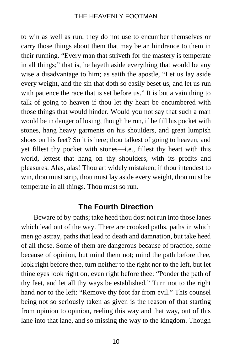to win as well as run, they do not use to encumber themselves or carry those things about them that may be an hindrance to them in their running. "Every man that striveth for the mastery is temperate in all things;" that is, he layeth aside everything that would be any wise a disadvantage to him; as saith the apostle, "Let us lay aside every weight, and the sin that doth so easily beset us, and let us run with patience the race that is set before us." It is but a vain thing to talk of going to heaven if thou let thy heart be encumbered with those things that would hinder. Would you not say that such a man would be in danger of losing, though he run, if he fill his pocket with stones, hang heavy garments on his shoulders, and great lumpish shoes on his feet? So it is here; thou talkest of going to heaven, and yet fillest thy pocket with stones—i.e., fillest thy heart with this world, lettest that hang on thy shoulders, with its profits and pleasures. Alas, alas! Thou art widely mistaken; if thou intendest to win, thou must strip, thou must lay aside every weight, thou must be temperate in all things. Thou must so run.

# **The Fourth Direction**

Beware of by-paths; take heed thou dost not run into those lanes which lead out of the way. There are crooked paths, paths in which men go astray, paths that lead to death and damnation, but take heed of all those. Some of them are dangerous because of practice, some because of opinion, but mind them not; mind the path before thee, look right before thee, turn neither to the right nor to the left, but let thine eyes look right on, even right before thee: "Ponder the path of thy feet, and let all thy ways be established." Turn not to the right hand nor to the left: "Remove thy foot far from evil." This counsel being not so seriously taken as given is the reason of that starting from opinion to opinion, reeling this way and that way, out of this lane into that lane, and so missing the way to the kingdom. Though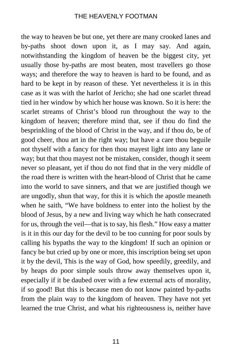the way to heaven be but one, yet there are many crooked lanes and by-paths shoot down upon it, as I may say. And again, notwithstanding the kingdom of heaven be the biggest city, yet usually those by-paths are most beaten, most travellers go those ways; and therefore the way to heaven is hard to be found, and as hard to be kept in by reason of these. Yet nevertheless it is in this case as it was with the harlot of Jericho; she had one scarlet thread tied in her window by which her house was known. So it is here: the scarlet streams of Christ's blood run throughout the way to the kingdom of heaven; therefore mind that, see if thou do find the besprinkling of the blood of Christ in the way, and if thou do, be of good cheer, thou art in the right way; but have a care thou beguile not thyself with a fancy for then thou mayest light into any lane or way; but that thou mayest not be mistaken, consider, though it seem never so pleasant, yet if thou do not find that in the very middle of the road there is written with the heart-blood of Christ that he came into the world to save sinners, and that we are justified though we are ungodly, shun that way, for this it is which the apostle meaneth when he saith, "We have boldness to enter into the holiest by the blood of Jesus, by a new and living way which he hath consecrated for us, through the veil—that is to say, his flesh." How easy a matter is it in this our day for the devil to be too cunning for poor souls by calling his bypaths the way to the kingdom! If such an opinion or fancy be but cried up by one or more, this inscription being set upon it by the devil, This is the way of God, how speedily, greedily, and by heaps do poor simple souls throw away themselves upon it, especially if it be daubed over with a few external acts of morality, if so good! But this is because men do not know painted by-paths from the plain way to the kingdom of heaven. They have not yet learned the true Christ, and what his righteousness is, neither have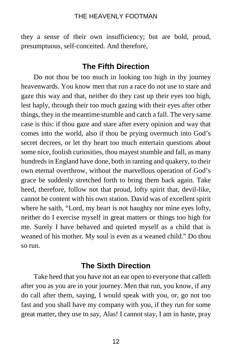they a sense of their own insufficiency; but are bold, proud, presumptuous, self-conceited. And therefore,

# **The Fifth Direction**

Do not thou be too much in looking too high in thy journey heavenwards. You know men that run a race do not use to stare and gaze this way and that, neither do they cast up their eyes too high, lest haply, through their too much gazing with their eyes after other things, they in the meantime stumble and catch a fall. The very same case is this: if thou gaze and stare after every opinion and way that comes into the world, also if thou be prying overmuch into God's secret decrees, or let thy heart too much entertain questions about some nice, foolish curiosities, thou mayest stumble and fall, as many hundreds in England have done, both in ranting and quakery, to their own eternal overthrow, without the marvellous operation of God's grace be suddenly stretched forth to bring them back again. Take heed, therefore, follow not that proud, lofty spirit that, devil-like, cannot be content with his own station. David was of excellent spirit where he saith, "Lord, my heart is not haughty nor mine eyes lofty, neither do I exercise myself in great matters or things too high for me. Surely I have behaved and quieted myself as a child that is weaned of his mother. My soul is even as a weaned child." Do thou so run.

# **The Sixth Direction**

Take heed that you have not an ear open to everyone that calleth after you as you are in your journey. Men that run, you know, if any do call after them, saying, I would speak with you, or, go not too fast and you shall have my company with you, if they run for some great matter, they use to say, Alas! I cannot stay, I am in haste, pray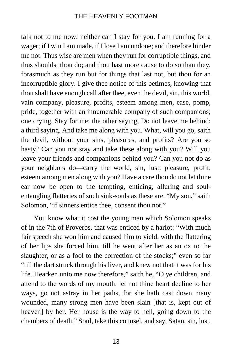talk not to me now; neither can I stay for you, I am running for a wager; if I win I am made, if I lose I am undone; and therefore hinder me not. Thus wise are men when they run for corruptible things, and thus shouldst thou do; and thou hast more cause to do so than they, forasmuch as they run but for things that last not, but thou for an incorruptible glory. I give thee notice of this betimes, knowing that thou shalt have enough call after thee, even the devil, sin, this world, vain company, pleasure, profits, esteem among men, ease, pomp, pride, together with an innumerable company of such companions; one crying, Stay for me: the other saying, Do not leave me behind: a third saying, And take me along with you. What, will you go, saith the devil, without your sins, pleasures, and profits? Are you so hasty? Can you not stay and take these along with you? Will you leave your friends and companions behind you? Can you not do as your neighbors do—carry the world, sin, lust, pleasure, profit, esteem among men along with you? Have a care thou do not let thine ear now be open to the tempting, enticing, alluring and soulentangling flatteries of such sink-souls as these are. "My son," saith Solomon, "if sinners entice thee, consent thou not."

You know what it cost the young man which Solomon speaks of in the 7th of Proverbs, that was enticed by a harlot: "With much fair speech she won him and caused him to yield, with the flattering of her lips she forced him, till he went after her as an ox to the slaughter, or as a fool to the correction of the stocks;" even so far "till the dart struck through his liver, and knew not that it was for his life. Hearken unto me now therefore," saith he, "O ye children, and attend to the words of my mouth: let not thine heart decline to her ways, go not astray in her paths, for she hath cast down many wounded, many strong men have been slain [that is, kept out of heaven] by her. Her house is the way to hell, going down to the chambers of death." Soul, take this counsel, and say, Satan, sin, lust,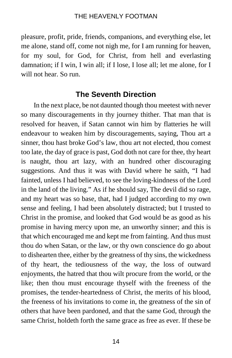pleasure, profit, pride, friends, companions, and everything else, let me alone, stand off, come not nigh me, for I am running for heaven, for my soul, for God, for Christ, from hell and everlasting damnation; if I win, I win all; if I lose, I lose all; let me alone, for I will not hear. So run.

# **The Seventh Direction**

In the next place, be not daunted though thou meetest with never so many discouragements in thy journey thither. That man that is resolved for heaven, if Satan cannot win him by flatteries he will endeavour to weaken him by discouragements, saying, Thou art a sinner, thou hast broke God's law, thou art not elected, thou comest too late, the day of grace is past, God doth not care for thee, thy heart is naught, thou art lazy, with an hundred other discouraging suggestions. And thus it was with David where he saith, "I had fainted, unless I had believed, to see the loving-kindness of the Lord in the land of the living." As if he should say, The devil did so rage, and my heart was so base, that, had I judged according to my own sense and feeling, I had been absolutely distracted; but I trusted to Christ in the promise, and looked that God would be as good as his promise in having mercy upon me, an unworthy sinner; and this is that which encouraged me and kept me from fainting. And thus must thou do when Satan, or the law, or thy own conscience do go about to dishearten thee, either by the greatness of thy sins, the wickedness of thy heart, the tediousness of the way, the loss of outward enjoyments, the hatred that thou wilt procure from the world, or the like; then thou must encourage thyself with the freeness of the promises, the tender-heartedness of Christ, the merits of his blood, the freeness of his invitations to come in, the greatness of the sin of others that have been pardoned, and that the same God, through the same Christ, holdeth forth the same grace as free as ever. If these be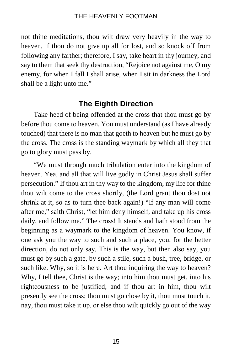not thine meditations, thou wilt draw very heavily in the way to heaven, if thou do not give up all for lost, and so knock off from following any farther; therefore, I say, take heart in thy journey, and say to them that seek thy destruction, "Rejoice not against me, O my enemy, for when I fall I shall arise, when I sit in darkness the Lord shall be a light unto me."

# **The Eighth Direction**

Take heed of being offended at the cross that thou must go by before thou come to heaven. You must understand (as I have already touched) that there is no man that goeth to heaven but he must go by the cross. The cross is the standing waymark by which all they that go to glory must pass by.

"We must through much tribulation enter into the kingdom of heaven. Yea, and all that will live godly in Christ Jesus shall suffer persecution." If thou art in thy way to the kingdom, my life for thine thou wilt come to the cross shortly, (the Lord grant thou dost not shrink at it, so as to turn thee back again!) "If any man will come after me," saith Christ, "let him deny himself, and take up his cross daily, and follow me." The cross! It stands and hath stood from the beginning as a waymark to the kingdom of heaven. You know, if one ask you the way to such and such a place, you, for the better direction, do not only say, This is the way, but then also say, you must go by such a gate, by such a stile, such a bush, tree, bridge, or such like. Why, so it is here. Art thou inquiring the way to heaven? Why, I tell thee, Christ is the way; into him thou must get, into his righteousness to be justified; and if thou art in him, thou wilt presently see the cross; thou must go close by it, thou must touch it, nay, thou must take it up, or else thou wilt quickly go out of the way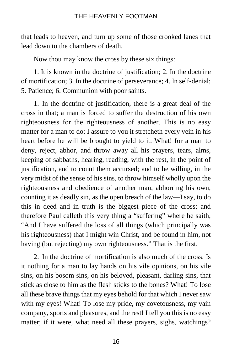that leads to heaven, and turn up some of those crooked lanes that lead down to the chambers of death.

Now thou may know the cross by these six things:

1. It is known in the doctrine of justification; 2. In the doctrine of mortification; 3. In the doctrine of perseverance; 4. In self-denial; 5. Patience; 6. Communion with poor saints.

1. In the doctrine of justification, there is a great deal of the cross in that; a man is forced to suffer the destruction of his own righteousness for the righteousness of another. This is no easy matter for a man to do; I assure to you it stretcheth every vein in his heart before he will be brought to yield to it. What! for a man to deny, reject, abhor, and throw away all his prayers, tears, alms, keeping of sabbaths, hearing, reading, with the rest, in the point of justification, and to count them accursed; and to be willing, in the very midst of the sense of his sins, to throw himself wholly upon the righteousness and obedience of another man, abhorring his own, counting it as deadly sin, as the open breach of the law—I say, to do this in deed and in truth is the biggest piece of the cross; and therefore Paul calleth this very thing a "suffering" where he saith, "And I have suffered the loss of all things (which principally was his righteousness) that I might win Christ, and be found in him, not having (but rejecting) my own righteousness." That is the first.

2. In the doctrine of mortification is also much of the cross. Is it nothing for a man to lay hands on his vile opinions, on his vile sins, on his bosom sins, on his beloved, pleasant, darling sins, that stick as close to him as the flesh sticks to the bones? What! To lose all these brave things that my eyes behold for that which I never saw with my eyes! What! To lose my pride, my covetousness, my vain company, sports and pleasures, and the rest! I tell you this is no easy matter; if it were, what need all these prayers, sighs, watchings?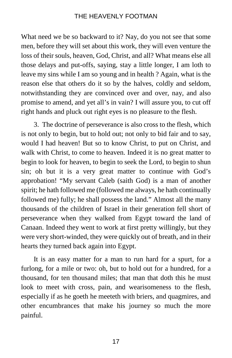What need we be so backward to it? Nay, do you not see that some men, before they will set about this work, they will even venture the loss of their souls, heaven, God, Christ, and all? What means else all those delays and put-offs, saying, stay a little longer, I am loth to leave my sins while I am so young and in health ? Again, what is the reason else that others do it so by the halves, coldly and seldom, notwithstanding they are convinced over and over, nay, and also promise to amend, and yet all's in vain? I will assure you, to cut off right hands and pluck out right eyes is no pleasure to the flesh.

3. The doctrine of perseverance is also cross to the flesh, which is not only to begin, but to hold out; not only to bid fair and to say, would I had heaven! But so to know Christ, to put on Christ, and walk with Christ, to come to heaven. Indeed it is no great matter to begin to look for heaven, to begin to seek the Lord, to begin to shun sin; oh but it is a very great matter to continue with God's approbation! "My servant Caleb (saith God) is a man of another spirit; he hath followed me (followed me always, he hath continually followed me) fully; he shall possess the land." Almost all the many thousands of the children of Israel in their generation fell short of perseverance when they walked from Egypt toward the land of Canaan. Indeed they went to work at first pretty willingly, but they were very short-winded, they were quickly out of breath, and in their hearts they turned back again into Egypt.

It is an easy matter for a man to run hard for a spurt, for a furlong, for a mile or two: oh, but to hold out for a hundred, for a thousand, for ten thousand miles; that man that doth this he must look to meet with cross, pain, and wearisomeness to the flesh, especially if as he goeth he meeteth with briers, and quagmires, and other encumbrances that make his journey so much the more painful.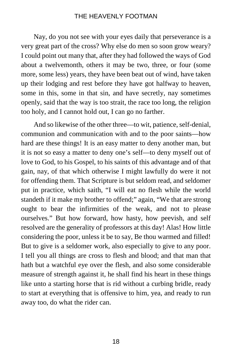Nay, do you not see with your eyes daily that perseverance is a very great part of the cross? Why else do men so soon grow weary? I could point out many that, after they had followed the ways of God about a twelvemonth, others it may be two, three, or four (some more, some less) years, they have been beat out of wind, have taken up their lodging and rest before they have got halfway to heaven, some in this, some in that sin, and have secretly, nay sometimes openly, said that the way is too strait, the race too long, the religion too holy, and I cannot hold out, I can go no farther.

And so likewise of the other three—to wit, patience, self-denial, communion and communication with and to the poor saints—how hard are these things! It is an easy matter to deny another man, but it is not so easy a matter to deny one's self—to deny myself out of love to God, to his Gospel, to his saints of this advantage and of that gain, nay, of that which otherwise I might lawfully do were it not for offending them. That Scripture is but seldom read, and seldomer put in practice, which saith, "I will eat no flesh while the world standeth if it make my brother to offend;" again, "We that are strong ought to bear the infirmities of the weak, and not to please ourselves." But how forward, how hasty, how peevish, and self resolved are the generality of professors at this day! Alas! How little considering the poor, unless it be to say, Be thou warmed and filled! But to give is a seldomer work, also especially to give to any poor. I tell you all things are cross to flesh and blood; and that man that hath but a watchful eye over the flesh, and also some considerable measure of strength against it, he shall find his heart in these things like unto a starting horse that is rid without a curbing bridle, ready to start at everything that is offensive to him, yea, and ready to run away too, do what the rider can.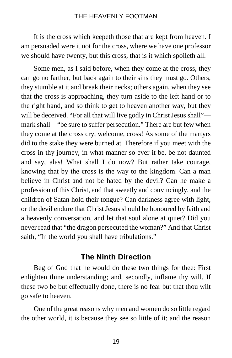It is the cross which keepeth those that are kept from heaven. I am persuaded were it not for the cross, where we have one professor we should have twenty, but this cross, that is it which spoileth all.

Some men, as I said before, when they come at the cross, they can go no farther, but back again to their sins they must go. Others, they stumble at it and break their necks; others again, when they see that the cross is approaching, they turn aside to the left hand or to the right hand, and so think to get to heaven another way, but they will be deceived. "For all that will live godly in Christ Jesus shall" mark shall—"be sure to suffer persecution." There are but few when they come at the cross cry, welcome, cross! As some of the martyrs did to the stake they were burned at. Therefore if you meet with the cross in thy journey, in what manner so ever it be, be not daunted and say, alas! What shall I do now? But rather take courage, knowing that by the cross is the way to the kingdom. Can a man believe in Christ and not be hated by the devil? Can he make a profession of this Christ, and that sweetly and convincingly, and the children of Satan hold their tongue? Can darkness agree with light, or the devil endure that Christ Jesus should be honoured by faith and a heavenly conversation, and let that soul alone at quiet? Did you never read that "the dragon persecuted the woman?" And that Christ saith, "In the world you shall have tribulations."

# **The Ninth Direction**

Beg of God that he would do these two things for thee: First enlighten thine understanding; and, secondly, inflame thy will. If these two be but effectually done, there is no fear but that thou wilt go safe to heaven.

One of the great reasons why men and women do so little regard the other world, it is because they see so little of it; and the reason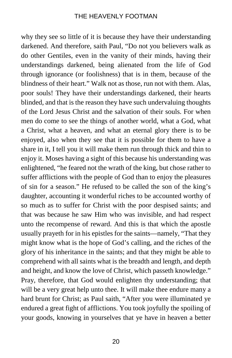why they see so little of it is because they have their understanding darkened. And therefore, saith Paul, "Do not you believers walk as do other Gentiles, even in the vanity of their minds, having their understandings darkened, being alienated from the life of God through ignorance (or foolishness) that is in them, because of the blindness of their heart." Walk not as those, run not with them. Alas, poor souls! They have their understandings darkened, their hearts blinded, and that is the reason they have such undervaluing thoughts of the Lord Jesus Christ and the salvation of their souls. For when men do come to see the things of another world, what a God, what a Christ, what a heaven, and what an eternal glory there is to be enjoyed, also when they see that it is possible for them to have a share in it, I tell you it will make them run through thick and thin to enjoy it. Moses having a sight of this because his understanding was enlightened, "he feared not the wrath of the king, but chose rather to suffer afflictions with the people of God than to enjoy the pleasures of sin for a season." He refused to be called the son of the king's daughter, accounting it wonderful riches to be accounted worthy of so much as to suffer for Christ with the poor despised saints; and that was because he saw Him who was invisible, and had respect unto the recompense of reward. And this is that which the apostle usually prayeth for in his epistles for the saints—namely, "That they might know what is the hope of God's calling, and the riches of the glory of his inheritance in the saints; and that they might be able to comprehend with all saints what is the breadth and length, and depth and height, and know the love of Christ, which passeth knowledge." Pray, therefore, that God would enlighten thy understanding; that will be a very great help unto thee. It will make thee endure many a hard brunt for Christ; as Paul saith, "After you were illuminated ye endured a great fight of afflictions. You took joyfully the spoiling of your goods, knowing in yourselves that ye have in heaven a better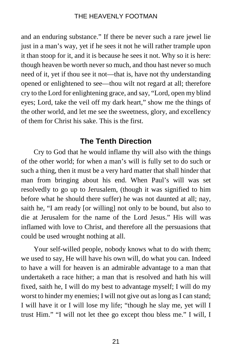and an enduring substance." If there be never such a rare jewel lie just in a man's way, yet if he sees it not he will rather trample upon it than stoop for it, and it is because he sees it not. Why so it is here: though heaven be worth never so much, and thou hast never so much need of it, yet if thou see it not—that is, have not thy understanding opened or enlightened to see—thou wilt not regard at all; therefore cry to the Lord for enlightening grace, and say, "Lord, open my blind eyes; Lord, take the veil off my dark heart," show me the things of the other world, and let me see the sweetness, glory, and excellency of them for Christ his sake. This is the first.

# **The Tenth Direction**

Cry to God that he would inflame thy will also with the things of the other world; for when a man's will is fully set to do such or such a thing, then it must be a very hard matter that shall hinder that man from bringing about his end. When Paul's will was set resolvedly to go up to Jerusalem, (though it was signified to him before what he should there suffer) he was not daunted at all; nay, saith he, "I am ready [or willing] not only to be bound, but also to die at Jerusalem for the name of the Lord Jesus." His will was inflamed with love to Christ, and therefore all the persuasions that could be used wrought nothing at all.

Your self-willed people, nobody knows what to do with them; we used to say, He will have his own will, do what you can. Indeed to have a will for heaven is an admirable advantage to a man that undertaketh a race hither; a man that is resolved and hath his will fixed, saith he, I will do my best to advantage myself; I will do my worst to hinder my enemies; I will not give out as long as I can stand; I will have it or I will lose my life; "though he slay me, yet will I trust Him." "I will not let thee go except thou bless me." I will, I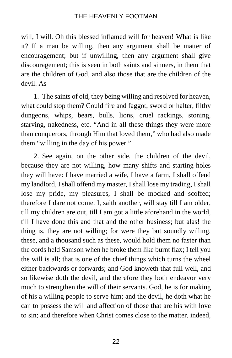will, I will. Oh this blessed inflamed will for heaven! What is like it? If a man be willing, then any argument shall be matter of encouragement; but if unwilling, then any argument shall give discouragement; this is seen in both saints and sinners, in them that are the children of God, and also those that are the children of the devil. As—

1. The saints of old, they being willing and resolved for heaven, what could stop them? Could fire and faggot, sword or halter, filthy dungeons, whips, bears, bulls, lions, cruel rackings, stoning, starving, nakedness, etc. "And in all these things they were more than conquerors, through Him that loved them," who had also made them "willing in the day of his power."

2. See again, on the other side, the children of the devil, because they are not willing, how many shifts and starting-holes they will have: I have married a wife, I have a farm, I shall offend my landlord, I shall offend my master, I shall lose my trading, I shall lose my pride, my pleasures, I shall be mocked and scoffed; therefore I dare not come. I, saith another, will stay till I am older, till my children are out, till I am got a little aforehand in the world, till I have done this and that and the other business; but alas! the thing is, they are not willing; for were they but soundly willing, these, and a thousand such as these, would hold them no faster than the cords held Samson when he broke them like burnt flax; I tell you the will is all; that is one of the chief things which turns the wheel either backwards or forwards; and God knoweth that full well, and so likewise doth the devil, and therefore they both endeavor very much to strengthen the will of their servants. God, he is for making of his a willing people to serve him; and the devil, he doth what he can to possess the will and affection of those that are his with love to sin; and therefore when Christ comes close to the matter, indeed,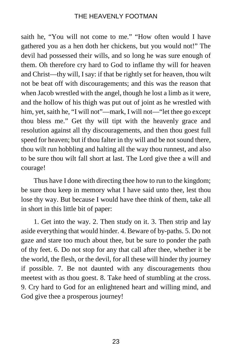saith he, "You will not come to me." "How often would I have gathered you as a hen doth her chickens, but you would not!" The devil had possessed their wills, and so long he was sure enough of them. Oh therefore cry hard to God to inflame thy will for heaven and Christ—thy will, I say: if that be rightly set for heaven, thou wilt not be beat off with discouragements; and this was the reason that when Jacob wrestled with the angel, though he lost a limb as it were, and the hollow of his thigh was put out of joint as he wrestled with him, yet, saith he, "I will not"—mark, I will not—"let thee go except thou bless me." Get thy will tipt with the heavenly grace and resolution against all thy discouragements, and then thou goest full speed for heaven; but if thou falter in thy will and be not sound there, thou wilt run hobbling and halting all the way thou runnest, and also to be sure thou wilt fall short at last. The Lord give thee a will and courage!

Thus have I done with directing thee how to run to the kingdom; be sure thou keep in memory what I have said unto thee, lest thou lose thy way. But because I would have thee think of them, take all in short in this little bit of paper:

1. Get into the way. 2. Then study on it. 3. Then strip and lay aside everything that would hinder. 4. Beware of by-paths. 5. Do not gaze and stare too much about thee, but be sure to ponder the path of thy feet. 6. Do not stop for any that call after thee, whether it be the world, the flesh, or the devil, for all these will hinder thy journey if possible. 7. Be not daunted with any discouragements thou meetest with as thou goest. 8. Take heed of stumbling at the cross. 9. Cry hard to God for an enlightened heart and willing mind, and God give thee a prosperous journey!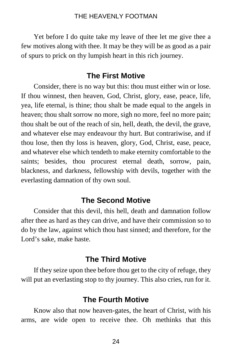Yet before I do quite take my leave of thee let me give thee a few motives along with thee. It may be they will be as good as a pair of spurs to prick on thy lumpish heart in this rich journey.

# **The First Motive**

Consider, there is no way but this: thou must either win or lose. If thou winnest, then heaven, God, Christ, glory, ease, peace, life, yea, life eternal, is thine; thou shalt be made equal to the angels in heaven; thou shalt sorrow no more, sigh no more, feel no more pain; thou shalt be out of the reach of sin, hell, death, the devil, the grave, and whatever else may endeavour thy hurt. But contrariwise, and if thou lose, then thy loss is heaven, glory, God, Christ, ease, peace, and whatever else which tendeth to make eternity comfortable to the saints; besides, thou procurest eternal death, sorrow, pain, blackness, and darkness, fellowship with devils, together with the everlasting damnation of thy own soul.

# **The Second Motive**

Consider that this devil, this hell, death and damnation follow after thee as hard as they can drive, and have their commission so to do by the law, against which thou hast sinned; and therefore, for the Lord's sake, make haste.

# **The Third Motive**

If they seize upon thee before thou get to the city of refuge, they will put an everlasting stop to thy journey. This also cries, run for it.

# **The Fourth Motive**

Know also that now heaven-gates, the heart of Christ, with his arms, are wide open to receive thee. Oh methinks that this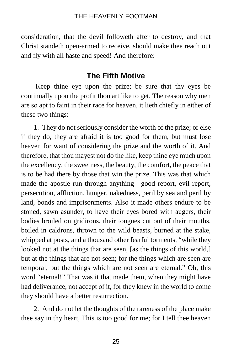consideration, that the devil followeth after to destroy, and that Christ standeth open-armed to receive, should make thee reach out and fly with all haste and speed! And therefore:

# **The Fifth Motive**

Keep thine eye upon the prize; be sure that thy eyes be continually upon the profit thou art like to get. The reason why men are so apt to faint in their race for heaven, it lieth chiefly in either of these two things:

1. They do not seriously consider the worth of the prize; or else if they do, they are afraid it is too good for them, but must lose heaven for want of considering the prize and the worth of it. And therefore, that thou mayest not do the like, keep thine eye much upon the excellency, the sweetness, the beauty, the comfort, the peace that is to be had there by those that win the prize. This was that which made the apostle run through anything—good report, evil report, persecution, affliction, hunger, nakedness, peril by sea and peril by land, bonds and imprisonments. Also it made others endure to be stoned, sawn asunder, to have their eyes bored with augers, their bodies broiled on gridirons, their tongues cut out of their mouths, boiled in caldrons, thrown to the wild beasts, burned at the stake, whipped at posts, and a thousand other fearful torments, "while they looked not at the things that are seen, [as the things of this world,] but at the things that are not seen; for the things which are seen are temporal, but the things which are not seen are eternal." Oh, this word "eternal!" That was it that made them, when they might have had deliverance, not accept of it, for they knew in the world to come they should have a better resurrection.

2. And do not let the thoughts of the rareness of the place make thee say in thy heart, This is too good for me; for I tell thee heaven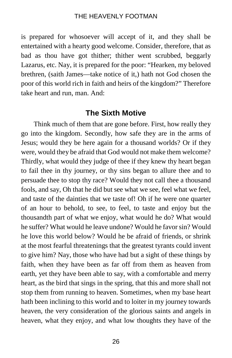is prepared for whosoever will accept of it, and they shall be entertained with a hearty good welcome. Consider, therefore, that as bad as thou have got thither; thither went scrubbed, beggarly Lazarus, etc. Nay, it is prepared for the poor: "Hearken, my beloved brethren, (saith James—take notice of it,) hath not God chosen the poor of this world rich in faith and heirs of the kingdom?" Therefore take heart and run, man. And:

# **The Sixth Motive**

Think much of them that are gone before. First, how really they go into the kingdom. Secondly, how safe they are in the arms of Jesus; would they be here again for a thousand worlds? Or if they were, would they be afraid that God would not make them welcome? Thirdly, what would they judge of thee if they knew thy heart began to fail thee in thy journey, or thy sins began to allure thee and to persuade thee to stop thy race? Would they not call thee a thousand fools, and say, Oh that he did but see what we see, feel what we feel, and taste of the dainties that we taste of! Oh if he were one quarter of an hour to behold, to see, to feel, to taste and enjoy but the thousandth part of what we enjoy, what would he do? What would he suffer? What would he leave undone? Would he favorsin? Would he love this world below? Would he be afraid of friends, or shrink at the most fearful threatenings that the greatest tyrants could invent to give him? Nay, those who have had but a sight of these things by faith, when they have been as far off from them as heaven from earth, yet they have been able to say, with a comfortable and merry heart, as the bird that sings in the spring, that this and more shall not stop them from running to heaven. Sometimes, when my base heart hath been inclining to this world and to loiter in my journey towards heaven, the very consideration of the glorious saints and angels in heaven, what they enjoy, and what low thoughts they have of the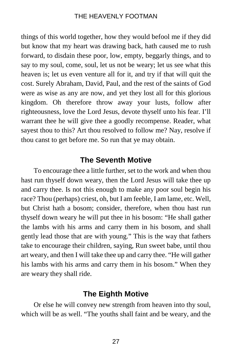things of this world together, how they would befool me if they did but know that my heart was drawing back, hath caused me to rush forward, to disdain these poor, low, empty, beggarly things, and to say to my soul, come, soul, let us not be weary; let us see what this heaven is; let us even venture all for it, and try if that will quit the cost. Surely Abraham, David, Paul, and the rest of the saints of God were as wise as any are now, and yet they lost all for this glorious kingdom. Oh therefore throw away your lusts, follow after righteousness, love the Lord Jesus, devote thyself unto his fear. I'll warrant thee he will give thee a goodly recompense. Reader, what sayest thou to this? Art thou resolved to follow me? Nay, resolve if thou canst to get before me. So run that ye may obtain.

# **The Seventh Motive**

To encourage thee a little further, set to the work and when thou hast run thyself down weary, then the Lord Jesus will take thee up and carry thee. Is not this enough to make any poor soul begin his race? Thou (perhaps) criest, oh, but I am feeble, I am lame, etc. Well, but Christ hath a bosom; consider, therefore, when thou hast run thyself down weary he will put thee in his bosom: "He shall gather the lambs with his arms and carry them in his bosom, and shall gently lead those that are with young." This is the way that fathers take to encourage their children, saying, Run sweet babe, until thou art weary, and then I will take thee up and carry thee. "He will gather his lambs with his arms and carry them in his bosom." When they are weary they shall ride.

# **The Eighth Motive**

Or else he will convey new strength from heaven into thy soul, which will be as well. "The youths shall faint and be weary, and the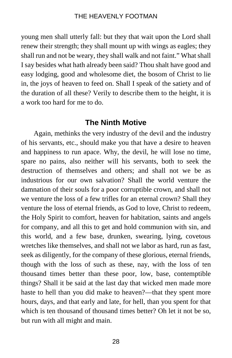young men shall utterly fall: but they that wait upon the Lord shall renew their strength; they shall mount up with wings as eagles; they shall run and not be weary, they shall walk and not faint." What shall I say besides what hath already been said? Thou shalt have good and easy lodging, good and wholesome diet, the bosom of Christ to lie in, the joys of heaven to feed on. Shall I speak of the satiety and of the duration of all these? Verily to describe them to the height, it is a work too hard for me to do.

# **The Ninth Motive**

Again, methinks the very industry of the devil and the industry of his servants, etc., should make you that have a desire to heaven and happiness to run apace. Why, the devil, he will lose no time, spare no pains, also neither will his servants, both to seek the destruction of themselves and others; and shall not we be as industrious for our own salvation? Shall the world venture the damnation of their souls for a poor corruptible crown, and shall not we venture the loss of a few trifles for an eternal crown? Shall they venture the loss of eternal friends, as God to love, Christ to redeem, the Holy Spirit to comfort, heaven for habitation, saints and angels for company, and all this to get and hold communion with sin, and this world, and a few base, drunken, swearing, lying, covetous wretches like themselves, and shall not we labor as hard, run as fast, seek as diligently, for the company of these glorious, eternal friends, though with the loss of such as these, nay, with the loss of ten thousand times better than these poor, low, base, contemptible things? Shall it be said at the last day that wicked men made more haste to hell than you did make to heaven?—that they spent more hours, days, and that early and late, for hell, than you spent for that which is ten thousand of thousand times better? Oh let it not be so, but run with all might and main.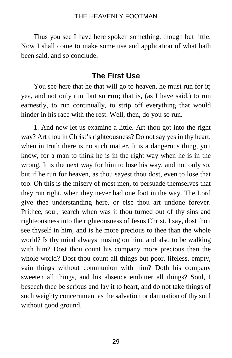Thus you see I have here spoken something, though but little. Now I shall come to make some use and application of what hath been said, and so conclude.

# **The First Use**

You see here that he that will go to heaven, he must run for it; yea, and not only run, but **so run**; that is, (as I have said,) to run earnestly, to run continually, to strip off everything that would hinder in his race with the rest. Well, then, do you so run.

1. And now let us examine a little. Art thou got into the right way? Art thou in Christ's righteousness? Do not say yes in thy heart, when in truth there is no such matter. It is a dangerous thing, you know, for a man to think he is in the right way when he is in the wrong. It is the next way for him to lose his way, and not only so, but if he run for heaven, as thou sayest thou dost, even to lose that too. Oh this is the misery of most men, to persuade themselves that they run right, when they never had one foot in the way. The Lord give thee understanding here, or else thou art undone forever. Prithee, soul, search when was it thou turned out of thy sins and righteousness into the righteousness of Jesus Christ. I say, dost thou see thyself in him, and is he more precious to thee than the whole world? Is thy mind always musing on him, and also to be walking with him? Dost thou count his company more precious than the whole world? Dost thou count all things but poor, lifeless, empty, vain things without communion with him? Doth his company sweeten all things, and his absence embitter all things? Soul, I beseech thee be serious and lay it to heart, and do not take things of such weighty concernment as the salvation or damnation of thy soul without good ground.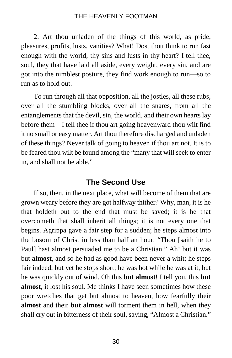2. Art thou unladen of the things of this world, as pride, pleasures, profits, lusts, vanities? What! Dost thou think to run fast enough with the world, thy sins and lusts in thy heart? I tell thee, soul, they that have laid all aside, every weight, every sin, and are got into the nimblest posture, they find work enough to run—so to run as to hold out.

To run through all that opposition, all the jostles, all these rubs, over all the stumbling blocks, over all the snares, from all the entanglements that the devil, sin, the world, and their own hearts lay before them—I tell thee if thou art going heavenward thou wilt find it no small or easy matter. Art thou therefore discharged and unladen of these things? Never talk of going to heaven if thou art not. It is to be feared thou wilt be found among the "many that will seek to enter in, and shall not be able."

# **The Second Use**

If so, then, in the next place, what will become of them that are grown weary before they are got halfway thither? Why, man, it is he that holdeth out to the end that must be saved; it is he that overcometh that shall inherit all things; it is not every one that begins. Agrippa gave a fair step for a sudden; he steps almost into the bosom of Christ in less than half an hour. "Thou [saith he to Paul] hast almost persuaded me to be a Christian." Ah! but it was but **almost**, and so he had as good have been never a whit; he steps fair indeed, but yet he stops short; he was hot while he was at it, but he was quickly out of wind. Oh this **but almost**! I tell you, this **but almost**, it lost his soul. Me thinks I have seen sometimes how these poor wretches that get but almost to heaven, how fearfully their **almost** and their **but almost** will torment them in hell, when they shall cry out in bitterness of their soul, saying, "Almost a Christian."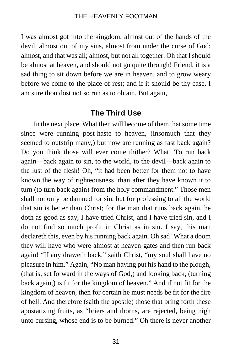I was almost got into the kingdom, almost out of the hands of the devil, almost out of my sins, almost from under the curse of God; almost, and that was all; almost, but not all together. Oh that I should be almost at heaven, and should not go quite through! Friend, it is a sad thing to sit down before we are in heaven, and to grow weary before we come to the place of rest; and if it should be thy case, I am sure thou dost not so run as to obtain. But again,

# **The Third Use**

In the next place. What then will become of them that some time since were running post-haste to heaven, (insomuch that they seemed to outstrip many,) but now are running as fast back again? Do you think those will ever come thither? What! To run back again—back again to sin, to the world, to the devil—back again to the lust of the flesh! Oh, "it had been better for them not to have known the way of righteousness, than after they have known it to turn (to turn back again) from the holy commandment." Those men shall not only be damned for sin, but for professing to all the world that sin is better than Christ; for the man that runs back again, he doth as good as say, I have tried Christ, and I have tried sin, and I do not find so much profit in Christ as in sin. I say, this man declareth this, even by his running back again. Oh sad! What a doom they will have who were almost at heaven-gates and then run back again! "If any draweth back," saith Christ, "my soul shall have no pleasure in him." Again, "No man having put his hand to the plough, (that is, set forward in the ways of God,) and looking back, (turning back again,) is fit for the kingdom of heaven." And if not fit for the kingdom of heaven, then for certain he must needs be fit for the fire of hell. And therefore (saith the apostle) those that bring forth these apostatizing fruits, as "briers and thorns, are rejected, being nigh unto cursing, whose end is to be burned." Oh there is never another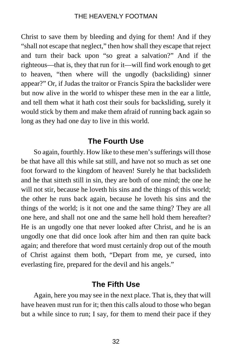Christ to save them by bleeding and dying for them! And if they "shall not escape that neglect," then how shall they escape that reject and turn their back upon "so great a salvation?" And if the righteous—that is, they that run for it—will find work enough to get to heaven, "then where will the ungodly (backsliding) sinner appear?" Or, if Judas the traitor or Francis Spira the backslider were but now alive in the world to whisper these men in the ear a little, and tell them what it hath cost their souls for backsliding, surely it would stick by them and make them afraid of running back again so long as they had one day to live in this world.

# **The Fourth Use**

So again, fourthly. How like to these men's sufferings will those be that have all this while sat still, and have not so much as set one foot forward to the kingdom of heaven! Surely he that backslideth and he that sitteth still in sin, they are both of one mind; the one he will not stir, because he loveth his sins and the things of this world; the other he runs back again, because he loveth his sins and the things of the world; is it not one and the same thing? They are all one here, and shall not one and the same hell hold them hereafter? He is an ungodly one that never looked after Christ, and he is an ungodly one that did once look after him and then ran quite back again; and therefore that word must certainly drop out of the mouth of Christ against them both, "Depart from me, ye cursed, into everlasting fire, prepared for the devil and his angels."

# **The Fifth Use**

Again, here you may see in the next place. That is, they that will have heaven must run for it; then this calls aloud to those who began but a while since to run; I say, for them to mend their pace if they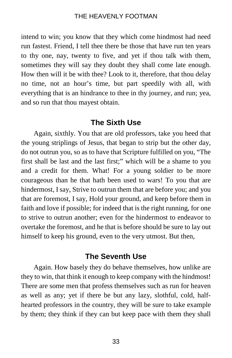intend to win; you know that they which come hindmost had need run fastest. Friend, I tell thee there be those that have run ten years to thy one, nay, twenty to five, and yet if thou talk with them, sometimes they will say they doubt they shall come late enough. How then will it be with thee? Look to it, therefore, that thou delay no time, not an hour's time, but part speedily with all, with everything that is an hindrance to thee in thy journey, and run; yea, and so run that thou mayest obtain.

# **The Sixth Use**

Again, sixthly. You that are old professors, take you heed that the young striplings of Jesus, that began to strip but the other day, do not outrun you, so as to have that Scripture fulfilled on you, "The first shall be last and the last first;" which will be a shame to you and a credit for them. What! For a young soldier to be more courageous than he that hath been used to wars! To you that are hindermost, I say, Strive to outrun them that are before you; and you that are foremost, I say, Hold your ground, and keep before them in faith and love if possible; for indeed that is the right running, for one to strive to outrun another; even for the hindermost to endeavor to overtake the foremost, and he that is before should be sure to lay out himself to keep his ground, even to the very utmost. But then,

#### **The Seventh Use**

Again. How basely they do behave themselves, how unlike are they to win, that think it enough to keep company with the hindmost! There are some men that profess themselves such as run for heaven as well as any; yet if there be but any lazy, slothful, cold, halfhearted professors in the country, they will be sure to take example by them; they think if they can but keep pace with them they shall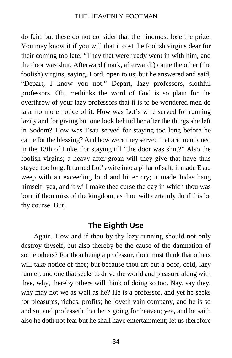do fair; but these do not consider that the hindmost lose the prize. You may know it if you will that it cost the foolish virgins dear for their coming too late: "They that were ready went in with him, and the door was shut. Afterward (mark, afterward!) came the other (the foolish) virgins, saying, Lord, open to us; but he answered and said, "Depart, I know you not." Depart, lazy professors, slothful professors. Oh, methinks the word of God is so plain for the overthrow of your lazy professors that it is to be wondered men do take no more notice of it. How was Lot's wife served for running lazily and for giving but one look behind her after the things she left in Sodom? How was Esau served for staying too long before he came for the blessing? And how were they served that are mentioned in the 13th of Luke, for staying till "the door was shut?" Also the foolish virgins; a heavy after-groan will they give that have thus stayed too long. It turned Lot's wife into a pillar of salt; it made Esau weep with an exceeding loud and bitter cry; it made Judas hang himself; yea, and it will make thee curse the day in which thou was born if thou miss of the kingdom, as thou wilt certainly do if this be thy course. But,

# **The Eighth Use**

Again. How and if thou by thy lazy running should not only destroy thyself, but also thereby be the cause of the damnation of some others? For thou being a professor, thou must think that others will take notice of thee; but because thou art but a poor, cold, lazy runner, and one that seeks to drive the world and pleasure along with thee, why, thereby others will think of doing so too. Nay, say they, why may not we as well as he? He is a professor, and yet he seeks for pleasures, riches, profits; he loveth vain company, and he is so and so, and professeth that he is going for heaven; yea, and he saith also he doth not fear but he shall have entertainment; let us therefore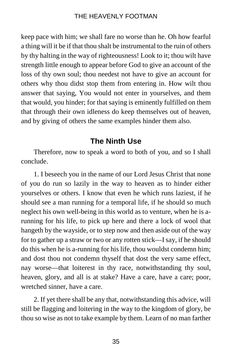keep pace with him; we shall fare no worse than he. Oh how fearful a thing will it be if that thou shalt be instrumental to the ruin of others by thy halting in the way of righteousness! Look to it; thou wilt have strength little enough to appear before God to give an account of the loss of thy own soul; thou needest not have to give an account for others why thou didst stop them from entering in. How wilt thou answer that saying, You would not enter in yourselves, and them that would, you hinder; for that saying is eminently fulfilled on them that through their own idleness do keep themselves out of heaven, and by giving of others the same examples hinder them also.

# **The Ninth Use**

Therefore, now to speak a word to both of you, and so I shall conclude.

1. I beseech you in the name of our Lord Jesus Christ that none of you do run so lazily in the way to heaven as to hinder either yourselves or others. I know that even he which runs laziest, if he should see a man running for a temporal life, if he should so much neglect his own well-being in this world as to venture, when he is arunning for his life, to pick up here and there a lock of wool that hangeth by the wayside, or to step now and then aside out of the way for to gather up a straw or two or any rotten stick—I say, if he should do this when he is a-running for his life, thou wouldst condemn him; and dost thou not condemn thyself that dost the very same effect, nay worse—that loiterest in thy race, notwithstanding thy soul, heaven, glory, and all is at stake? Have a care, have a care; poor, wretched sinner, have a care.

2. If yet there shall be any that, notwithstanding this advice, will still be flagging and loitering in the way to the kingdom of glory, be thou so wise as not to take example by them. Learn of no man farther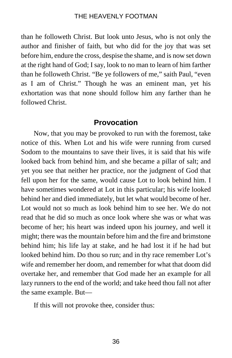than he followeth Christ. But look unto Jesus, who is not only the author and finisher of faith, but who did for the joy that was set before him, endure the cross, despise the shame, and is now set down at the right hand of God; I say, look to no man to learn of him farther than he followeth Christ. "Be ye followers of me," saith Paul, "even as I am of Christ." Though he was an eminent man, yet his exhortation was that none should follow him any farther than he followed Christ.

# **Provocation**

Now, that you may be provoked to run with the foremost, take notice of this. When Lot and his wife were running from cursed Sodom to the mountains to save their lives, it is said that his wife looked back from behind him, and she became a pillar of salt; and yet you see that neither her practice, nor the judgment of God that fell upon her for the same, would cause Lot to look behind him. I have sometimes wondered at Lot in this particular; his wife looked behind her and died immediately, but let what would become of her. Lot would not so much as look behind him to see her. We do not read that he did so much as once look where she was or what was become of her; his heart was indeed upon his journey, and well it might; there was the mountain before him and the fire and brimstone behind him; his life lay at stake, and he had lost it if he had but looked behind him. Do thou so run; and in thy race remember Lot's wife and remember her doom, and remember for what that doom did overtake her, and remember that God made her an example for all lazy runners to the end of the world; and take heed thou fall not after the same example. But—

If this will not provoke thee, consider thus: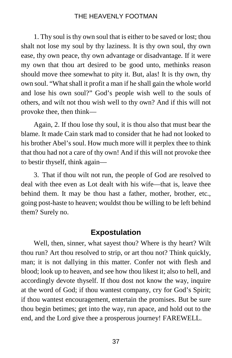1. Thy soul is thy own soul that is either to be saved or lost; thou shalt not lose my soul by thy laziness. It is thy own soul, thy own ease, thy own peace, thy own advantage or disadvantage. If it were my own that thou art desired to be good unto, methinks reason should move thee somewhat to pity it. But, alas! It is thy own, thy own soul. "What shall it profit a man if he shall gain the whole world and lose his own soul?" God's people wish well to the souls of others, and wilt not thou wish well to thy own? And if this will not provoke thee, then think—

Again, 2. If thou lose thy soul, it is thou also that must bear the blame. It made Cain stark mad to consider that he had not looked to his brother Abel's soul. How much more will it perplex thee to think that thou had not a care of thy own! And if this will not provoke thee to bestir thyself, think again—

3. That if thou wilt not run, the people of God are resolved to deal with thee even as Lot dealt with his wife—that is, leave thee behind them. It may be thou hast a father, mother, brother, etc., going post-haste to heaven; wouldst thou be willing to be left behind them? Surely no.

# **Expostulation**

Well, then, sinner, what sayest thou? Where is thy heart? Wilt thou run? Art thou resolved to strip, or art thou not? Think quickly, man; it is not dallying in this matter. Confer not with flesh and blood; look up to heaven, and see how thou likest it; also to hell, and accordingly devote thyself. If thou dost not know the way, inquire at the word of God; if thou wantest company, cry for God's Spirit; if thou wantest encouragement, entertain the promises. But be sure thou begin betimes; get into the way, run apace, and hold out to the end, and the Lord give thee a prosperous journey! FAREWELL.